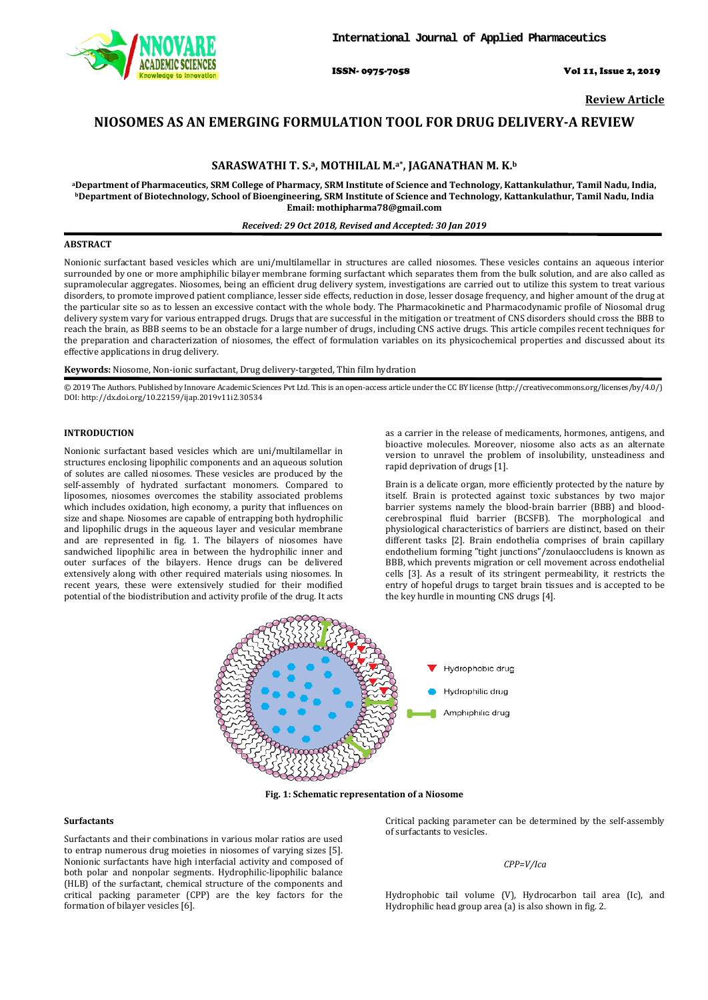

ISSN- 0975-7058 Vol 11, Issue 2, 2019

**Review Article**

# **NIOSOMES AS AN EMERGING FORMULATION TOOL FOR DRUG DELIVERY-A REVIEW**

# **SARASWATHI T. S. a, MOTHILAL M. a\*, JAGANATHAN M. K. b**

**aDepartment of Pharmaceutics, SRM College of Pharmacy, SRM Institute of Science and Technology, Kattankulathur, Tamil Nadu, India, b Department of Biotechnology, School of Bioengineering, SRM Institute of Science and Technology, Kattankulathur, Tamil Nadu, India Email: mothipharma78@gmail.com**

### *Received: 29 Oct 2018, Revised and Accepted: 30 Jan 2019*

# **ABSTRACT**

Nonionic surfactant based vesicles which are uni/multilamellar in structures are called niosomes. These vesicles contains an aqueous interior surrounded by one or more amphiphilic bilayer membrane forming surfactant which separates them from the bulk solution, and are also called as supramolecular aggregates. Niosomes, being an efficient drug delivery system, investigations are carried out to utilize this system to treat various disorders, to promote improved patient compliance, lesser side effects, reduction in dose, lesser dosage frequency, and higher amount of the drug at the particular site so as to lessen an excessive contact with the whole body. The Pharmacokinetic and Pharmacodynamic profile of Niosomal drug delivery system vary for various entrapped drugs. Drugs that are successful in the mitigation or treatment of CNS disorders should cross the BBB to reach the brain, as BBB seems to be an obstacle for a large number of drugs, including CNS active drugs. This article compiles recent techniques for the preparation and characterization of niosomes, the effect of formulation variables on its physicochemical properties and discussed about its effective applications in drug delivery.

## **Keywords:** Niosome, Non-ionic surfactant, Drug delivery-targeted, Thin film hydration

© 2019 The Authors. Published by Innovare Academic Sciences Pvt Ltd. This is an open-access article under the CC BY license [\(http://creativecommons.org/licenses/by/4.0/\)](http://creativecommons.org/licenses/by/4.0/) DOI: http://dx.doi.org/10.22159/ijap.2019v11i2.30534

#### **INTRODUCTION**

Nonionic surfactant based vesicles which are uni/multilamellar in structures enclosing lipophilic components and an aqueous solution of solutes are called niosomes. These vesicles are produced by the self-assembly of hydrated surfactant monomers. Compared to liposomes, niosomes overcomes the stability associated problems which includes oxidation, high economy, a purity that influences on size and shape. Niosomes are capable of entrapping both hydrophilic and lipophilic drugs in the aqueous layer and vesicular membrane and are represented in fig. 1. The bilayers of niosomes have sandwiched lipophilic area in between the hydrophilic inner and outer surfaces of the bilayers. Hence drugs can be delivered extensively along with other required materials using niosomes. In recent years, these were extensively studied for their modified potential of the biodistribution and activity profile of the drug. It acts

as a carrier in the release of medicaments, hormones, antigens, and bioactive molecules. Moreover, niosome also acts as an alternate version to unravel the problem of insolubility, unsteadiness and rapid deprivation of drugs [1].

Brain is a delicate organ, more efficiently protected by the nature by itself. Brain is protected against toxic substances by two major barrier systems namely the blood-brain barrier (BBB) and bloodcerebrospinal fluid barrier (BCSFB). The morphological and physiological characteristics of barriers are distinct, based on their different tasks [2]. Brain endothelia comprises of brain capillary endothelium forming "tight junctions"/zonulaoccludens is known as BBB, which prevents migration or cell movement across endothelial cells [3]. As a result of its stringent permeability, it restricts the entry of hopeful drugs to target brain tissues and is accepted to be the key hurdle in mounting CNS drugs [4].



**Fig. 1: Schematic representation of a Niosome**

#### **Surfactants**

Surfactants and their combinations in various molar ratios are used to entrap numerous drug moieties in niosomes of varying sizes [5]. Nonionic surfactants have high interfacial activity and composed of both polar and nonpolar segments. Hydrophilic-lipophilic balance (HLB) of the surfactant, chemical structure of the components and critical packing parameter (CPP) are the key factors for the formation of bilayer vesicles [6].

Critical packing parameter can be determined by the self-assembly of surfactants to vesicles.

# *CPP=V/Ica*

Hydrophobic tail volume (V), Hydrocarbon tail area (Ic), and Hydrophilic head group area (a) is also shown in fig. 2.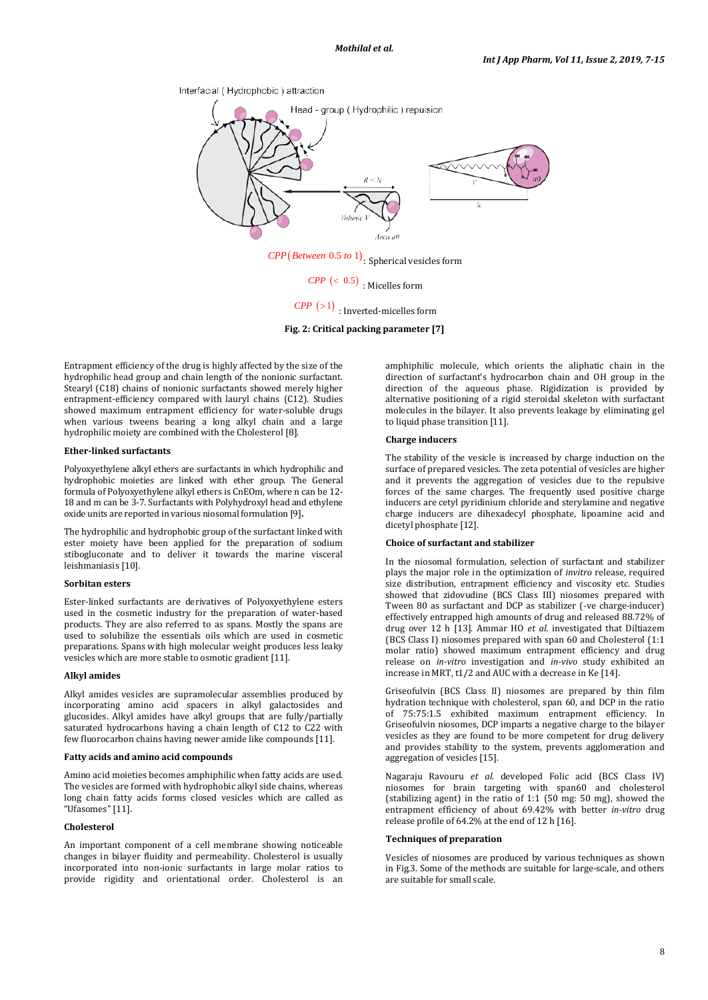Interfacial (Hydrophobic) attraction



 $CPP \, (< 0.5)$  : Micelles form

 $\textit{CPP}$  (>1) : Inverted-micelles form

**Fig. 2: Critical packing parameter [7]**

Entrapment efficiency of the drug is highly affected by the size of the hydrophilic head group and chain length of the nonionic surfactant. Stearyl (C18) chains of nonionic surfactants showed merely higher entrapment-efficiency compared with lauryl chains (C12). Studies showed maximum entrapment efficiency for water-soluble drugs when various tweens bearing a long alkyl chain and a large hydrophilic moiety are combined with the Cholesterol [8].

# **Ether-linked surfactants**

Polyoxyethylene alkyl ethers are surfactants in which hydrophilic and hydrophobic moieties are linked with ether group. The General formula of Polyoxyethylene alkyl ethers is CnEOm, where n can be 12- 18 and m can be 3-7. Surfactants with Polyhydroxyl head and ethylene oxide units are reported in various niosomal formulation [9]**.**

The hydrophilic and hydrophobic group of the surfactant linked with ester moiety have been applied for the preparation of sodium stibogluconate and to deliver it towards the marine visceral leishmaniasis [10].

# **Sorbitan esters**

Ester-linked surfactants are derivatives of Polyoxyethylene esters used in the cosmetic industry for the preparation of water-based products. They are also referred to as spans. Mostly the spans are used to solubilize the essentials oils which are used in cosmetic preparations. Spans with high molecular weight produces less leaky vesicles which are more stable to osmotic gradient [11].

### **Alkyl amides**

Alkyl amides vesicles are supramolecular assemblies produced by incorporating amino acid spacers in alkyl galactosides and glucosides. Alkyl amides have alkyl groups that are fully/partially saturated hydrocarbons having a chain length of C12 to C22 with few fluorocarbon chains having newer amide like compounds [11].

### **Fatty acids and amino acid compounds**

Amino acid moieties becomes amphiphilic when fatty acids are used. The vesicles are formed with hydrophobic alkyl side chains, whereas long chain fatty acids forms closed vesicles which are called as "Ufasomes" [11].

# **Cholesterol**

An important component of a cell membrane showing noticeable changes in bilayer fluidity and permeability. Cholesterol is usually incorporated into non-ionic surfactants in large molar ratios to provide rigidity and orientational order. Cholesterol is an amphiphilic molecule, which orients the aliphatic chain in the direction of surfactant's hydrocarbon chain and OH group in the direction of the aqueous phase. Rigidization is provided by alternative positioning of a rigid steroidal skeleton with surfactant molecules in the bilayer. It also prevents leakage by eliminating gel to liquid phase transition [11].

### **Charge inducers**

The stability of the vesicle is increased by charge induction on the surface of prepared vesicles. The zeta potential of vesicles are higher and it prevents the aggregation of vesicles due to the repulsive forces of the same charges. The frequently used positive charge inducers are cetyl pyridinium chloride and sterylamine and negative charge inducers are dihexadecyl phosphate, lipoamine acid and dicetyl phosphate [12].

# **Choice of surfactant and stabilizer**

In the niosomal formulation, selection of surfactant and stabilizer plays the major role in the optimization of *invitro* release, required size distribution, entrapment efficiency and viscosity etc. Studies showed that zidovudine (BCS Class III) niosomes prepared with Tween 80 as surfactant and DCP as stabilizer (-ve charge-inducer) effectively entrapped high amounts of drug and released 88.72% of drug over 12 h [13]. Ammar HO *et al.* investigated that Diltiazem (BCS Class I) niosomes prepared with span 60 and Cholesterol (1:1 molar ratio) showed maximum entrapment efficiency and drug release on *in-vitro* investigation and *in-vivo* study exhibited an increase in MRT, t1/2 and AUC with a decrease in Ke [14].

Griseofulvin (BCS Class II) niosomes are prepared by thin film hydration technique with cholesterol, span 60, and DCP in the ratio of 75:75:1.5 exhibited maximum entrapment efficiency. In Griseofulvin niosomes, DCP imparts a negative charge to the bilayer vesicles as they are found to be more competent for drug delivery and provides stability to the system, prevents agglomeration and aggregation of vesicles [15].

Nagaraju Ravouru *et al.* developed Folic acid (BCS Class IV) niosomes for brain targeting with span60 and cholesterol (stabilizing agent) in the ratio of 1:1 (50 mg: 50 mg), showed the entrapment efficiency of about 69.42% with better *in-vitro* drug release profile of 64.2% at the end of 12 h [16].

# **Techniques of preparation**

Vesicles of niosomes are produced by various techniques as shown in Fig.3. Some of the methods are suitable for large-scale, and others are suitable for small scale.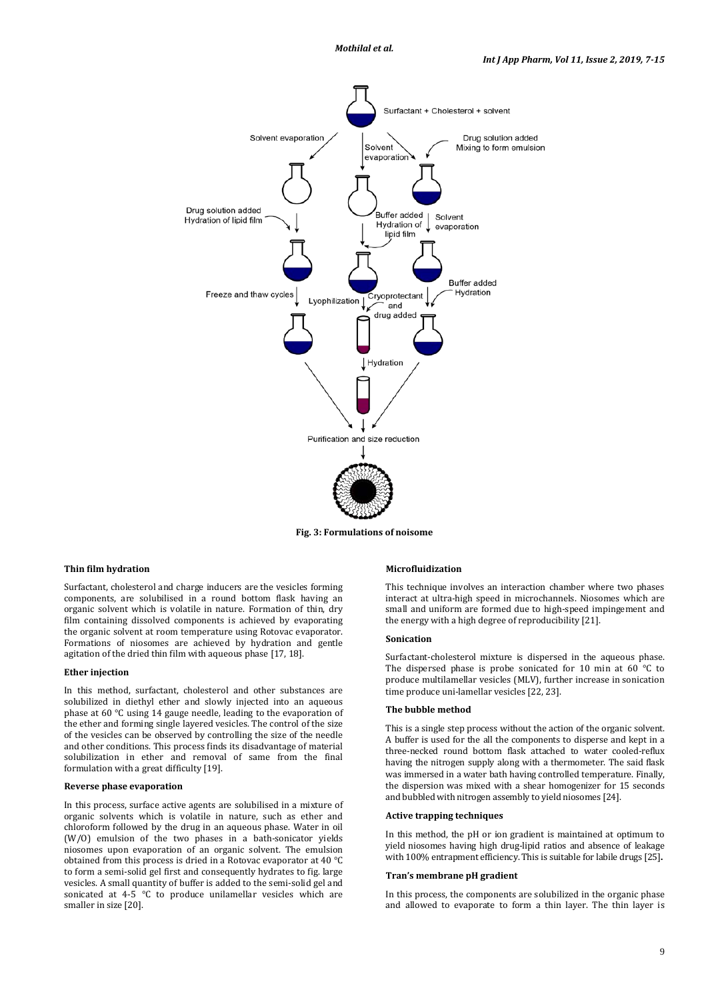

**Fig. 3: Formulations of noisome**

### **Thin film hydration**

Surfactant, cholesterol and charge inducers are the vesicles forming components, are solubilised in a round bottom flask having an organic solvent which is volatile in nature. Formation of thin, dry film containing dissolved components is achieved by evaporating the organic solvent at room temperature using Rotovac evaporator. Formations of niosomes are achieved by hydration and gentle agitation of the dried thin film with aqueous phase [17, 18].

#### **Ether injection**

In this method, surfactant, cholesterol and other substances are solubilized in diethyl ether and slowly injected into an aqueous phase at 60 °C using 14 gauge needle, leading to the evaporation of the ether and forming single layered vesicles. The control of the size of the vesicles can be observed by controlling the size of the needle and other conditions. This process finds its disadvantage of material solubilization in ether and removal of same from the final formulation with a great difficulty [19].

# **Reverse phase evaporation**

In this process, surface active agents are solubilised in a mixture of organic solvents which is volatile in nature, such as ether and chloroform followed by the drug in an aqueous phase. Water in oil (W/O) emulsion of the two phases in a bath-sonicator yields niosomes upon evaporation of an organic solvent. The emulsion obtained from this process is dried in a Rotovac evaporator at 40 °C to form a semi-solid gel first and consequently hydrates to fig. large vesicles. A small quantity of buffer is added to the semi-solid gel and sonicated at 4-5 °C to produce unilamellar vesicles which are smaller in size [20].

### **Microfluidization**

This technique involves an interaction chamber where two phases interact at ultra-high speed in microchannels. Niosomes which are small and uniform are formed due to high-speed impingement and the energy with a high degree of reproducibility [21].

#### **Sonication**

Surfactant-cholesterol mixture is dispersed in the aqueous phase. The dispersed phase is probe sonicated for 10 min at 60 °C to produce multilamellar vesicles (MLV), further increase in sonication time produce uni-lamellar vesicles [22, 23].

# **The bubble method**

This is a single step process without the action of the organic solvent. A buffer is used for the all the components to disperse and kept in a three-necked round bottom flask attached to water cooled-reflux having the nitrogen supply along with a thermometer. The said flask was immersed in a water bath having controlled temperature. Finally, the dispersion was mixed with a shear homogenizer for 15 seconds and bubbled with nitrogen assembly to yield niosomes [24].

### **Active trapping techniques**

In this method, the pH or ion gradient is maintained at optimum to yield niosomes having high drug-lipid ratios and absence of leakage with 100% entrapment efficiency. This is suitable for labile drugs [25]**.**

### **Tran's membrane pH gradient**

In this process, the components are solubilized in the organic phase and allowed to evaporate to form a thin layer. The thin layer is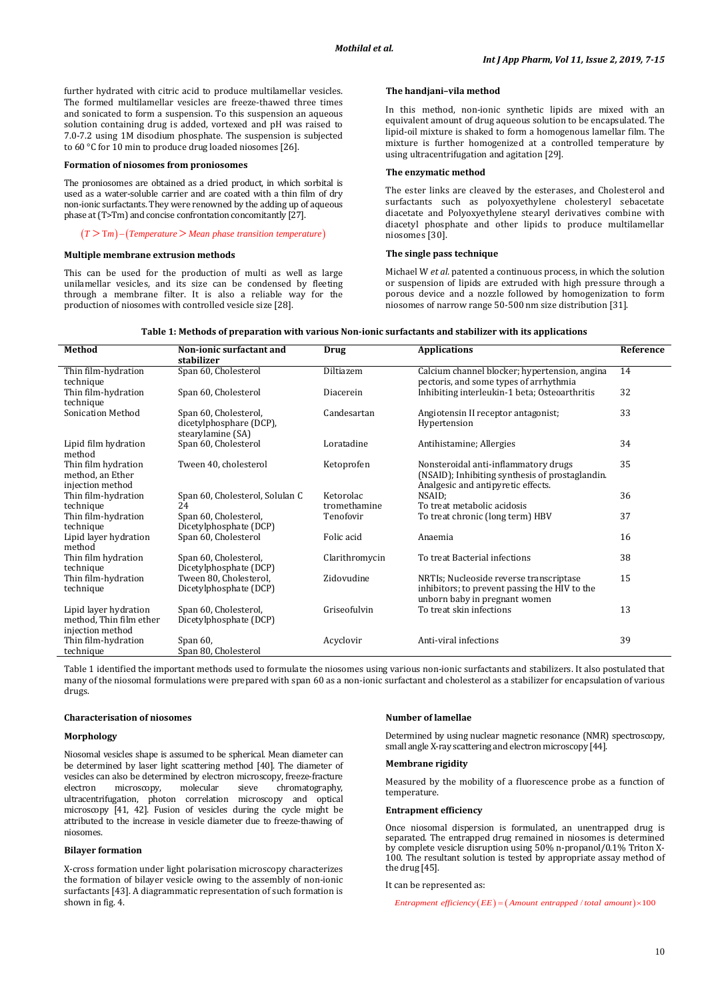further hydrated with citric acid to produce multilamellar vesicles. The formed multilamellar vesicles are freeze-thawed three times and sonicated to form a suspension. To this suspension an aqueous solution containing drug is added, vortexed and pH was raised to 7.0-7.2 using 1M disodium phosphate. The suspension is subjected to 60 °C for 10 min to produce drug loaded niosomes [26].

### **Formation of niosomes from proniosomes**

The proniosomes are obtained as a dried product, in which sorbital is used as a water-soluble carrier and are coated with a thin film of dry non-ionic surfactants. They were renowned by the adding up of aqueous phase at (T>Tm) and concise confrontation concomitantly [27].

# $(T > Tm) - (Temperature > Mean phase transition temperature)$

#### **Multiple membrane extrusion methods**

This can be used for the production of multi as well as large unilamellar vesicles, and its size can be condensed by fleeting through a membrane filter. It is also a reliable way for the production of niosomes with controlled vesicle size [28].

### **The handjani–vila method**

In this method, non-ionic synthetic lipids are mixed with an equivalent amount of drug aqueous solution to be encapsulated. The lipid-oil mixture is shaked to form a homogenous lamellar film. The mixture is further homogenized at a controlled temperature by using ultracentrifugation and agitation [29].

#### **The enzymatic method**

The ester links are cleaved by the esterases, and Cholesterol and surfactants such as polyoxyethylene cholesteryl sebacetate diacetate and Polyoxyethylene stearyl derivatives combine with diacetyl phosphate and other lipids to produce multilamellar niosomes [30].

### **The single pass technique**

Michael W *et al.* patented a continuous process, in which the solution or suspension of lipids are extruded with high pressure through a porous device and a nozzle followed by homogenization to form niosomes of narrow range 50-500 nm size distribution [31].

| Table 1: Methods of preparation with various Non-ionic surfactants and stabilizer with its applications |  |
|---------------------------------------------------------------------------------------------------------|--|
|---------------------------------------------------------------------------------------------------------|--|

| Method                                                               | Non-ionic surfactant and                                              | Drug                      | <b>Applications</b>                                                                                                           | Reference |
|----------------------------------------------------------------------|-----------------------------------------------------------------------|---------------------------|-------------------------------------------------------------------------------------------------------------------------------|-----------|
|                                                                      | stabilizer                                                            |                           |                                                                                                                               |           |
| Thin film-hydration<br>technique                                     | Span 60, Cholesterol                                                  | Diltiazem                 | Calcium channel blocker; hypertension, angina<br>pectoris, and some types of arrhythmia                                       | 14        |
| Thin film-hydration<br>technique                                     | Span 60, Cholesterol                                                  | Diacerein                 | Inhibiting interleukin-1 beta; Osteoarthritis                                                                                 | 32        |
| <b>Sonication Method</b>                                             | Span 60, Cholesterol,<br>dicetylphosphare (DCP),<br>stearylamine (SA) | Candesartan               | Angiotensin II receptor antagonist;<br>Hypertension                                                                           | 33        |
| Lipid film hydration<br>method                                       | Span 60, Cholesterol                                                  | Loratadine                | Antihistamine; Allergies                                                                                                      | 34        |
| Thin film hydration<br>method, an Ether<br>injection method          | Tween 40. cholesterol                                                 | Ketoprofen                | Nonsteroidal anti-inflammatory drugs<br>(NSAID); Inhibiting synthesis of prostaglandin.<br>Analgesic and antipyretic effects. | 35        |
| Thin film-hydration                                                  | Span 60, Cholesterol, Solulan C<br>24                                 | Ketorolac<br>tromethamine | NSAID:<br>To treat metabolic acidosis                                                                                         | 36        |
| technique                                                            |                                                                       |                           |                                                                                                                               |           |
| Thin film-hydration<br>technique                                     | Span 60, Cholesterol,<br>Dicetylphosphate (DCP)                       | Tenofovir                 | To treat chronic (long term) HBV                                                                                              | 37        |
| Lipid layer hydration<br>method                                      | Span 60, Cholesterol                                                  | Folic acid                | Anaemia                                                                                                                       | 16        |
| Thin film hydration<br>technique                                     | Span 60, Cholesterol,<br>Dicetylphosphate (DCP)                       | Clarithromycin            | To treat Bacterial infections                                                                                                 | 38        |
| Thin film-hydration<br>technique                                     | Tween 80, Cholesterol,<br>Dicetylphosphate (DCP)                      | Zidovudine                | NRTIs; Nucleoside reverse transcriptase<br>inhibitors; to prevent passing the HIV to the<br>unborn baby in pregnant women     | 15        |
| Lipid layer hydration<br>method, Thin film ether<br>injection method | Span 60, Cholesterol,<br>Dicetylphosphate (DCP)                       | Griseofulvin              | To treat skin infections                                                                                                      | 13        |
| Thin film-hydration<br>technique                                     | Span $60$ ,<br>Span 80, Cholesterol                                   | Acyclovir                 | Anti-viral infections                                                                                                         | 39        |

Table 1 identified the important methods used to formulate the niosomes using various non-ionic surfactants and stabilizers. It also postulated that many of the niosomal formulations were prepared with span 60 as a non-ionic surfactant and cholesterol as a stabilizer for encapsulation of various drugs.

#### **Characterisation of niosomes**

# **Morphology**

Niosomal vesicles shape is assumed to be spherical. Mean diameter can be determined by laser light scattering method [40]. The diameter of vesicles can also be determined by electron microscopy, freeze-fracture electron microscopy, molecular sieve chromatography, electron microscopy, molecular sieve chromatography, ultracentrifugation, photon correlation microscopy and optical microscopy [41 , 42]. Fusion of vesicles during the cycle might be attributed to the increase in vesicle diameter due to freeze-thawing of niosomes.

# **Bilayer formation**

X-cross formation under light polarisation microscopy characterizes the formation of bilayer vesicle owing to the assembly of non-ionic surfactants [43 ]. A diagrammatic representation of such formation is shown in fig. 4.

#### **Number of lamellae**

Determined by using nuclear magnetic resonance (NMR) spectroscopy, small angle X-ray scattering and electron microscopy [44 ].

# **Membrane rigidity**

Measured by the mobility of a fluorescence probe as a function of temperature.

# **Entrapment efficiency**

Once niosomal dispersion is formulated, an unentrapped drug is separated. The entrapped drug remained in niosomes is determined by complete vesicle disruption using 50% n-propanol/0.1% Triton X-100. The resultant solution is tested by appropriate assay method of the drug [45].

#### It can be represented as:

*Entrapment efficiency*  $(EE) = (Amount \text{ *entrapped / total amount*}) \times 100$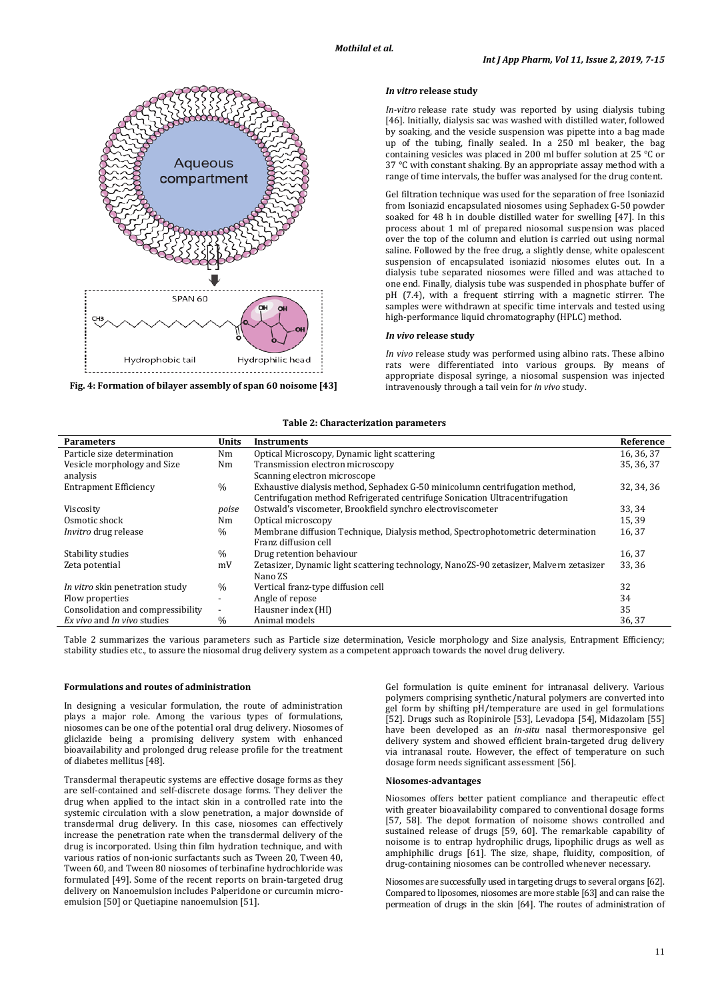

**Fig. 4: Formation of bilayer assembly of span 60 noisome [43 ]**

# *In vitro* **release study**

*In-vitro* release rate study was reported by using dialysis tubing [46]. Initially, dialysis sac was washed with distilled water, followed by soaking, and the vesicle suspension was pipette into a bag made up of the tubing, finally sealed. In a 250 ml beaker, the bag containing vesicles was placed in 200 ml buffer solution at 25 °C or 37 °C with constant shaking. By an appropriate assay method with a range of time intervals, the buffer was analysed for the drug content.

Gel filtration technique was used for the separation of free Isoniazid from Isoniazid encapsulated niosomes using Sephadex G-50 powder soaked for 48 h in double distilled water for swelling [47]. In this process about 1 ml of prepared niosomal suspension was placed over the top of the column and elution is carried out using normal saline. Followed by the free drug, a slightly dense, white opalescent suspension of encapsulated isoniazid niosomes elutes out. In a dialysis tube separated niosomes were filled and was attached to one end. Finally, dialysis tube was suspended in phosphate buffer of pH (7.4), with a frequent stirring with a magnetic stirrer. The samples were withdrawn at specific time intervals and tested using high-performance liquid chromatography (HPLC) method.

#### *In vivo* **release study**

*In vivo* release study was performed using albino rats. These albino rats were differentiated into various groups. By means of appropriate disposal syringe, a niosomal suspension was injected intravenously through a tail vein for *in vivo* study.

# **Table 2: Characterization parameters**

| <b>Parameters</b>                 | Units                    | <b>Instruments</b>                                                                     | Reference  |
|-----------------------------------|--------------------------|----------------------------------------------------------------------------------------|------------|
|                                   |                          |                                                                                        |            |
| Particle size determination       | Nm                       | Optical Microscopy, Dynamic light scattering                                           | 16, 36, 37 |
| Vesicle morphology and Size       | Nm                       | Transmission electron microscopy                                                       | 35, 36, 37 |
| analysis                          |                          | Scanning electron microscope                                                           |            |
| <b>Entrapment Efficiency</b>      | $\frac{0}{0}$            | Exhaustive dialysis method, Sephadex G-50 minicolumn centrifugation method,            | 32, 34, 36 |
|                                   |                          | Centrifugation method Refrigerated centrifuge Sonication Ultracentrifugation           |            |
| Viscosity                         | poise                    | Ostwald's viscometer, Brookfield synchro electroviscometer                             | 33, 34     |
| Osmotic shock                     | Nm                       | Optical microscopy                                                                     | 15,39      |
| Invitro drug release              | $\%$                     | Membrane diffusion Technique, Dialysis method, Spectrophotometric determination        | 16,37      |
|                                   |                          | Franz diffusion cell                                                                   |            |
| Stability studies                 | $\frac{0}{0}$            | Drug retention behaviour                                                               | 16, 37     |
| Zeta potential                    | mV                       | Zetasizer, Dynamic light scattering technology, NanoZS-90 zetasizer, Malvern zetasizer | 33, 36     |
|                                   |                          | Nano ZS                                                                                |            |
| In vitro skin penetration study   | $\frac{0}{0}$            | Vertical franz-type diffusion cell                                                     | 32         |
| Flow properties                   | $\blacksquare$           | Angle of repose                                                                        | 34         |
| Consolidation and compressibility | $\overline{\phantom{a}}$ | Hausner index (HI)                                                                     | 35         |
| Ex vivo and In vivo studies       | $\frac{0}{0}$            | Animal models                                                                          | 36, 37     |
|                                   |                          |                                                                                        |            |

Table 2 summarizes the various parameters such as Particle size determination, Vesicle morphology and Size analysis, Entrapment Efficiency; stability studies etc., to assure the niosomal drug delivery system as a competent approach towards the novel drug delivery.

#### **Formulations and routes of administration**

In designing a vesicular formulation, the route of administration plays a major role. Among the various types of formulations, niosomes can be one of the potential oral drug delivery. Niosomes of gliclazide being a promising delivery system with enhanced bioavailability and prolonged drug release profile for the treatment of diabetes mellitus [48].

Transdermal therapeutic systems are effective dosage forms as they are self-contained and self-discrete dosage forms. They deliver the drug when applied to the intact skin in a controlled rate into the systemic circulation with a slow penetration, a major downside of transdermal drug delivery. In this case, niosomes can effectively increase the penetration rate when the transdermal delivery of the drug is incorporated. Using thin film hydration technique, and with various ratios of non-ionic surfactants such as Tween 20, Tween 40, Tween 60, and Tween 80 niosomes of terbinafine hydrochloride was formulated [49]. Some of the recent reports on brain-targeted drug delivery on Nanoemulsion includes Palperidone or curcumin microemulsion [50] or Quetiapine nanoemulsion [51].

Gel formulation is quite eminent for intranasal delivery. Various polymers comprising synthetic/natural polymers are converted into gel form by shifting pH/temperature are used in gel formulations [52]. Drugs such as Ropinirole [53], Levadopa [54], Midazolam [55] have been developed as an *in-situ* nasal thermoresponsive gel delivery system and showed efficient brain-targeted drug delivery via intranasal route. However, the effect of temperature on such dosage form needs significant assessment [56].

#### **Niosomes-advantages**

Niosomes offers better patient compliance and therapeutic effect with greater bioavailability compared to conventional dosage forms [57, 58]. The depot formation of noisome shows controlled and sustained release of drugs [59, 60]. The remarkable capability of noisome is to entrap hydrophilic drugs, lipophilic drugs as well as amphiphilic drugs [61]. The size, shape, fluidity, composition, of drug-containing niosomes can be controlled whenever necessary.

Niosomes are successfully used in targeting drugs to several organs [62]. Compared to liposomes, niosomes are more stable [63] and can raise the permeation of drugs in the skin [64]. The routes of administration of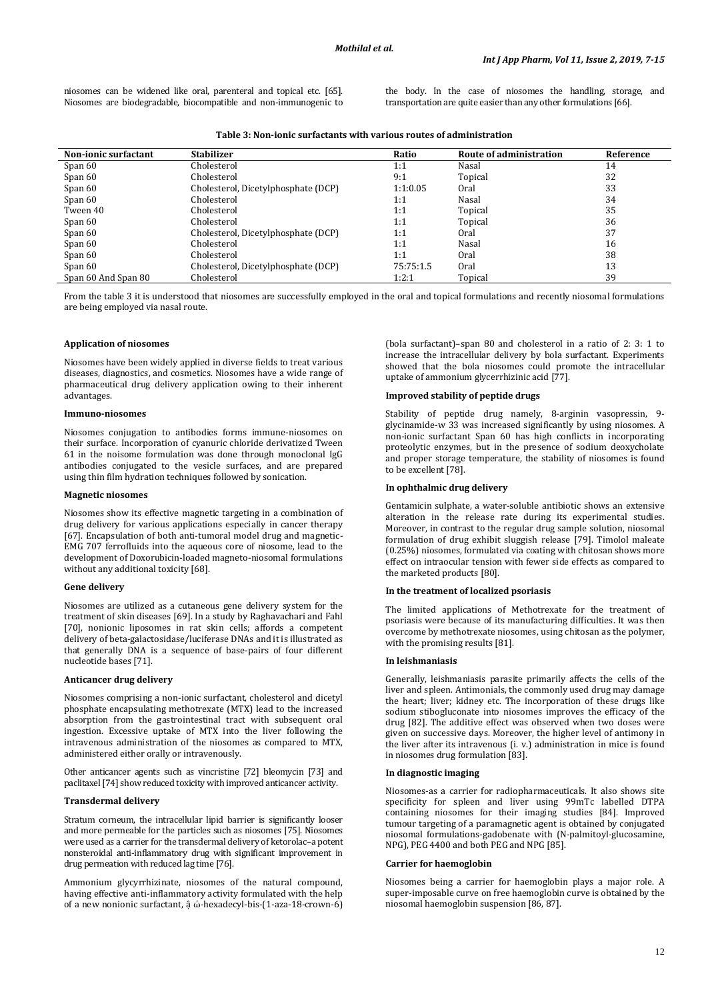niosomes can be widened like oral, parenteral and topical etc. [65]. Niosomes are biodegradable, biocompatible and non-immunogenic to the body. In the case of niosomes the handling, storage, and transportation are quite easier than any other formulations [66].

| <b>Non-ionic surfactant</b> | <b>Stabilizer</b>                   | Ratio     | Route of administration | Reference |
|-----------------------------|-------------------------------------|-----------|-------------------------|-----------|
| Span 60                     | Cholesterol                         | 1:1       | Nasal                   | 14        |
| Span 60                     | Cholesterol                         | 9:1       | Topical                 | 32        |
| Span 60                     | Cholesterol, Dicetylphosphate (DCP) | 1:1:0.05  | 0ral                    | 33        |
| Span 60                     | Cholesterol                         | 1:1       | Nasal                   | 34        |
| Tween 40                    | Cholesterol                         | 1:1       | Topical                 | 35        |
| Span 60                     | Cholesterol                         | 1:1       | Topical                 | 36        |
| Span 60                     | Cholesterol, Dicetylphosphate (DCP) | 1:1       | Oral                    | 37        |
| Span 60                     | Cholesterol                         | 1:1       | Nasal                   | 16        |
| Span 60                     | Cholesterol                         | 1:1       | 0ral                    | 38        |
| Span 60                     | Cholesterol, Dicetylphosphate (DCP) | 75:75:1.5 | 0ral                    | 13        |
| Span 60 And Span 80         | Cholesterol                         | 1:2:1     | Topical                 | 39        |

From the table 3 it is understood that niosomes are successfully employed in the oral and topical formulations and recently niosomal formulations are being employed via nasal route.

# **Application of niosomes**

Niosomes have been widely applied in diverse fields to treat various diseases, diagnostics, and cosmetics. Niosomes have a wide range of pharmaceutical drug delivery application owing to their inherent advantages.

# **Immuno-niosomes**

Niosomes conjugation to antibodies forms immune-niosomes on their surface. Incorporation of cyanuric chloride derivatized Tween 61 in the noisome formulation was done through monoclonal IgG antibodies conjugated to the vesicle surfaces, and are prepared using thin film hydration techniques followed by sonication.

#### **Magnetic niosomes**

Niosomes show its effective magnetic targeting in a combination of drug delivery for various applications especially in cancer therapy [67]. Encapsulation of both anti-tumoral model drug and magnetic-EMG 707 ferrofluids into the aqueous core of niosome, lead to the development of Doxorubicin-loaded magneto-niosomal formulations without any additional toxicity [68].

## **Gene delivery**

Niosomes are utilized as a cutaneous gene delivery system for the treatment of skin diseases [69]. In a study by Raghavachari and Fahl [70], nonionic liposomes in rat skin cells; affords a competent delivery of beta-galactosidase/luciferase DNAs and it is illustrated as that generally DNA is a sequence of base-pairs of four different nucleotide bases [71].

### **Anticancer drug delivery**

Niosomes comprising a non-ionic surfactant, cholesterol and dicetyl phosphate encapsulating methotrexate (MTX) lead to the increased absorption from the gastrointestinal tract with subsequent oral ingestion. Excessive uptake of MTX into the liver following the intravenous administration of the niosomes as compared to MTX, administered either orally or intravenously.

Other anticancer agents such as vincristine [72] bleomycin [73] and paclitaxel [74] show reduced toxicity with improved anticancer activity.

# **Transdermal delivery**

Stratum corneum, the intracellular lipid barrier is significantly looser and more permeable for the particles such as niosomes [75]. Niosomes were used as a carrier for the transdermal delivery of ketorolac–a potent nonsteroidal anti-inflammatory drug with significant improvement in drug permeation with reduced lag time [76].

Ammonium glycyrrhizinate, niosomes of the natural compound, having effective anti-inflammatory activity formulated with the help of a new nonionic surfactant, â ώ-hexadecyl-bis-(1-aza-18-crown-6)

(bola surfactant)–span 80 and cholesterol in a ratio of 2: 3: 1 to increase the intracellular delivery by bola surfactant. Experiments showed that the bola niosomes could promote the intracellular uptake of ammonium glycerrhizinic acid [77].

# **Improved stability of peptide drugs**

Stability of peptide drug namely, 8-arginin vasopressin, 9 glycinamide-w 33 was increased significantly by using niosomes. A non-ionic surfactant Span 60 has high conflicts in incorporating proteolytic enzymes, but in the presence of sodium deoxycholate and proper storage temperature, the stability of niosomes is found to be excellent [78].

# **In ophthalmic drug delivery**

Gentamicin sulphate, a water-soluble antibiotic shows an extensive alteration in the release rate during its experimental studies. Moreover, in contrast to the regular drug sample solution, niosomal formulation of drug exhibit sluggish release [79]. Timolol maleate (0.25%) niosomes, formulated via coating with chitosan shows more effect on intraocular tension with fewer side effects as compared to the marketed products [80].

# **In the treatment of localized psoriasis**

The limited applications of Methotrexate for the treatment of psoriasis were because of its manufacturing difficulties. It was then overcome by methotrexate niosomes, using chitosan as the polymer, with the promising results [81].

### **In leishmaniasis**

Generally, leishmaniasis parasite primarily affects the cells of the liver and spleen. Antimonials, the commonly used drug may damage the heart; liver; kidney etc. The incorporation of these drugs like sodium stibogluconate into niosomes improves the efficacy of the drug [82]. The additive effect was observed when two doses were given on successive days. Moreover, the higher level of antimony in the liver after its intravenous (i. v.) administration in mice is found in niosomes drug formulation [83].

#### **In diagnostic imaging**

Niosomes-as a carrier for radiopharmaceuticals. It also shows site specificity for spleen and liver using 99mTc labelled DTPA containing niosomes for their imaging studies [84]. Improved tumour targeting of a paramagnetic agent is obtained by conjugated niosomal formulations-gadobenate with (N-palmitoyl-glucosamine, NPG), PEG 4400 and both PEG and NPG [85].

### **Carrier for haemoglobin**

Niosomes being a carrier for haemoglobin plays a major role. A super-imposable curve on free haemoglobin curve is obtained by the niosomal haemoglobin suspension [86, 87].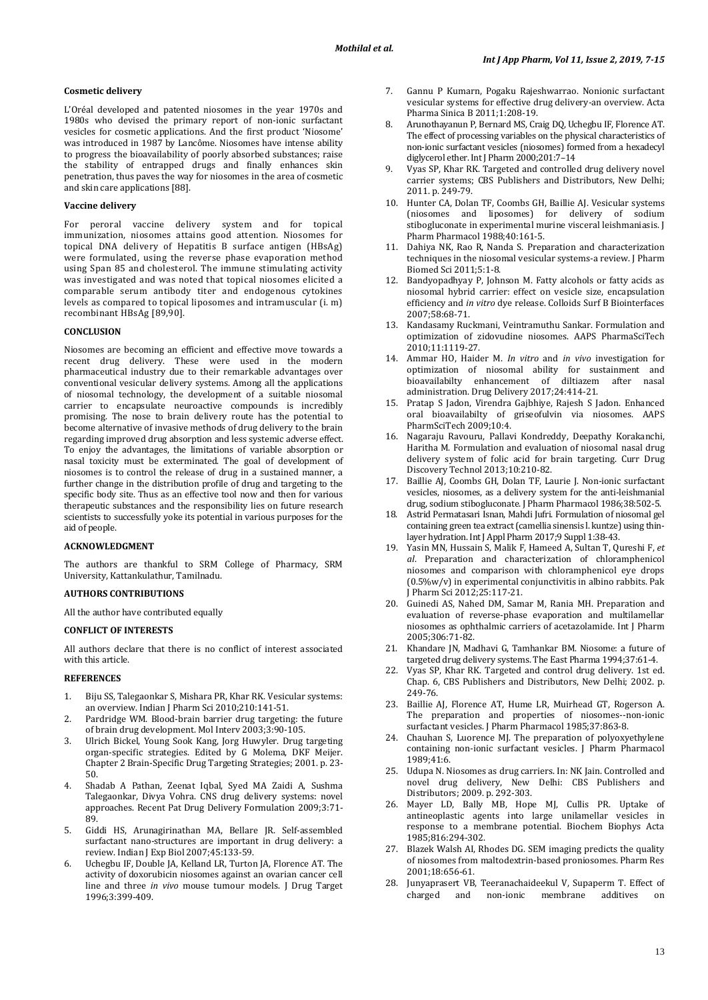# **Cosmetic delivery**

L'Oréal developed and patented niosomes in the year 1970s and 1980s who devised the primary report of non-ionic surfactant vesicles for cosmetic applications. And the first product 'Niosome' was introduced in 1987 by Lancôme. Niosomes have intense ability to progress the bioavailability of poorly absorbed substances; raise the stability of entrapped drugs and finally enhances skin penetration, thus paves the way for niosomes in the area of cosmetic and skin care applications [88].

# **Vaccine delivery**

For peroral vaccine delivery system and for topical immunization, niosomes attains good attention. Niosomes for topical DNA delivery of Hepatitis B surface antigen (HBsAg) were formulated, using the reverse phase evaporation method using Span 85 and cholesterol. The immune stimulating activity was investigated and was noted that topical niosomes elicited a comparable serum antibody titer and endogenous cytokines levels as compared to topical liposomes and intramuscular (i. m) recombinant HBsAg [89,90].

# **CONCLUSION**

Niosomes are becoming an efficient and effective move towards a recent drug delivery. These were used in the modern pharmaceutical industry due to their remarkable advantages over conventional vesicular delivery systems. Among all the applications of niosomal technology, the development of a suitable niosomal carrier to encapsulate neuroactive compounds is incredibly promising. The nose to brain delivery route has the potential to become alternative of invasive methods of drug delivery to the brain regarding improved drug absorption and less systemic adverse effect. To enjoy the advantages, the limitations of variable absorption or nasal toxicity must be exterminated. The goal of development of niosomes is to control the release of drug in a sustained manner, a further change in the distribution profile of drug and targeting to the specific body site. Thus as an effective tool now and then for various therapeutic substances and the responsibility lies on future research scientists to successfully yoke its potential in various purposes for the aid of people.

#### **ACKNOWLEDGMENT**

The authors are thankful to SRM College of Pharmacy, SRM University, Kattankulathur, Tamilnadu.

# **AUTHORS CONTRIBUTIONS**

All the author have contributed equally

# **CONFLICT OF INTERESTS**

All authors declare that there is no conflict of interest associated with this article.

# **REFERENCES**

- 1. Biju SS, Talegaonkar S, Mishara PR, Khar RK. Vesicular systems: an overview. Indian J Pharm Sci 2010;210:141-51.
- 2. Pardridge WM. Blood-brain barrier drug targeting: the future of brain drug development. Mol Interv 2003;3:90-105.
- 3. Ulrich Bickel, Young Sook Kang, Jorg Huwyler. Drug targeting organ-specific strategies. Edited by G Molema, DKF Meijer. Chapter 2 Brain-Specific Drug Targeting Strategies; 2001. p. 23- 50.
- 4. Shadab A Pathan, Zeenat Iqbal, Syed MA Zaidi A, Sushma Talegaonkar, Divya Vohra. CNS drug delivery systems: novel approaches. Recent Pat Drug Delivery Formulation 2009;3:71- 89.
- 5. Giddi HS, Arunagirinathan MA, Bellare JR. Self-assembled surfactant nano-structures are important in drug delivery: a review. Indian J Exp Biol 2007;45:133-59.
- 6. Uchegbu IF, Double JA, Kelland LR, Turton JA, Florence AT. The activity of doxorubicin niosomes against an ovarian cancer cell line and three *in vivo* mouse tumour models. J Drug Target 1996;3:399-409.
- 7. Gannu P Kumarn, Pogaku Rajeshwarrao. Nonionic surfactant vesicular systems for effective drug delivery-an overview. Acta Pharma Sinica B 2011;1:208-19.
- 8. Arunothayanun P, Bernard MS, Craig DQ, Uchegbu IF, Florence AT. The effect of processing variables on the physical characteristics of non-ionic surfactant vesicles (niosomes) formed from a hexadecyl diglycerol ether. Int J Pharm 2000;201:7–14
- Vyas SP, Khar RK. Targeted and controlled drug delivery novel carrier systems; CBS Publishers and Distributors, New Delhi; 2011. p. 249-79.
- 10. Hunter CA, Dolan TF, Coombs GH, Baillie AJ. Vesicular systems (niosomes and liposomes) for delivery of sodium stibogluconate in experimental murine visceral leishmaniasis. J Pharm Pharmacol 1988;40:161-5.
- 11. Dahiya NK, Rao R, Nanda S. Preparation and characterization techniques in the niosomal vesicular systems-a review. J Pharm Biomed Sci 2011;5:1-8.
- 12. Bandyopadhyay P, Johnson M. Fatty alcohols or fatty acids as niosomal hybrid carrier: effect on vesicle size, encapsulation efficiency and *in vitro* dye release. Colloids Surf B Biointerfaces 2007;58:68-71.
- 13. Kandasamy Ruckmani, Veintramuthu Sankar. Formulation and optimization of zidovudine niosomes. AAPS PharmaSciTech 2010;11:1119-27.
- 14. Ammar HO, Haider M. *In vitro* and *in vivo* investigation for optimization of niosomal ability for sustainment and bioavailabilty enhancement of diltiazem after nasal administration. Drug Delivery 2017;24:414-21.
- 15. Pratap S Jadon, Virendra Gajbhiye, Rajesh S Jadon. Enhanced oral bioavailabilty of griseofulvin via niosomes. AAPS PharmSciTech 2009;10:4.
- 16. Nagaraju Ravouru, Pallavi Kondreddy, Deepathy Korakanchi, Haritha M. Formulation and evaluation of niosomal nasal drug delivery system of folic acid for brain targeting. Curr Drug Discovery Technol 2013;10:210-82.
- 17. Baillie AJ, Coombs GH, Dolan TF, Laurie J. Non-ionic surfactant vesicles, niosomes, as a delivery system for the anti-leishmanial drug, sodium stibogluconate. J Pharm Pharmacol 1986;38:502-5.
- 18. Astrid Permatasari Isnan, Mahdi Jufri. Formulation of niosomal gel containing green tea extract (camellia sinensis l. kuntze) using thinlayer hydration. Int J Appl Pharm 2017;9 Suppl 1:38-43.
- 19. Yasin MN, Hussain S, Malik F, Hameed A, Sultan T, Qureshi F, *et al*. Preparation and characterization of chloramphenicol niosomes and comparison with chloramphenicol eye drops (0.5%w/v) in experimental conjunctivitis in albino rabbits. Pak J Pharm Sci 2012;25:117-21.
- 20. Guinedi AS, Nahed DM, Samar M, Rania MH. Preparation and evaluation of reverse-phase evaporation and multilamellar niosomes as ophthalmic carriers of acetazolamide. Int J Pharm 2005;306:71-82.
- 21. Khandare JN, Madhavi G, Tamhankar BM. Niosome: a future of targeted drug delivery systems. The East Pharma 1994;37:61-4.
- 22. Vyas SP, Khar RK. Targeted and control drug delivery. 1st ed. Chap. 6, CBS Publishers and Distributors, New Delhi; 2002. p. 249-76.
- 23. Baillie AJ, Florence AT, Hume LR, Muirhead GT, Rogerson A. The preparation and properties of niosomes--non-ionic surfactant vesicles. J Pharm Pharmacol 1985;37:863-8.
- 24. Chauhan S, Luorence MJ. The preparation of polyoxyethylene containing non-ionic surfactant vesicles. J Pharm Pharmacol 1989;41:6.
- 25. Udupa N. Niosomes as drug carriers. In: NK Jain. Controlled and novel drug delivery, New Delhi: CBS Publishers and Distributors; 2009. p. 292-303.
- 26. Mayer LD, Bally MB, Hope MJ, Cullis PR. Uptake of antineoplastic agents into large unilamellar vesicles in response to a membrane potential. Biochem Biophys Acta 1985;816:294-302.
- 27. Blazek Walsh AI, Rhodes DG. SEM imaging predicts the quality of niosomes from maltodextrin-based proniosomes. Pharm Res 2001;18:656-61.
- 28. Junyaprasert VB, Teeranachaideekul V, Supaperm T. Effect of non-ionic membrane additives on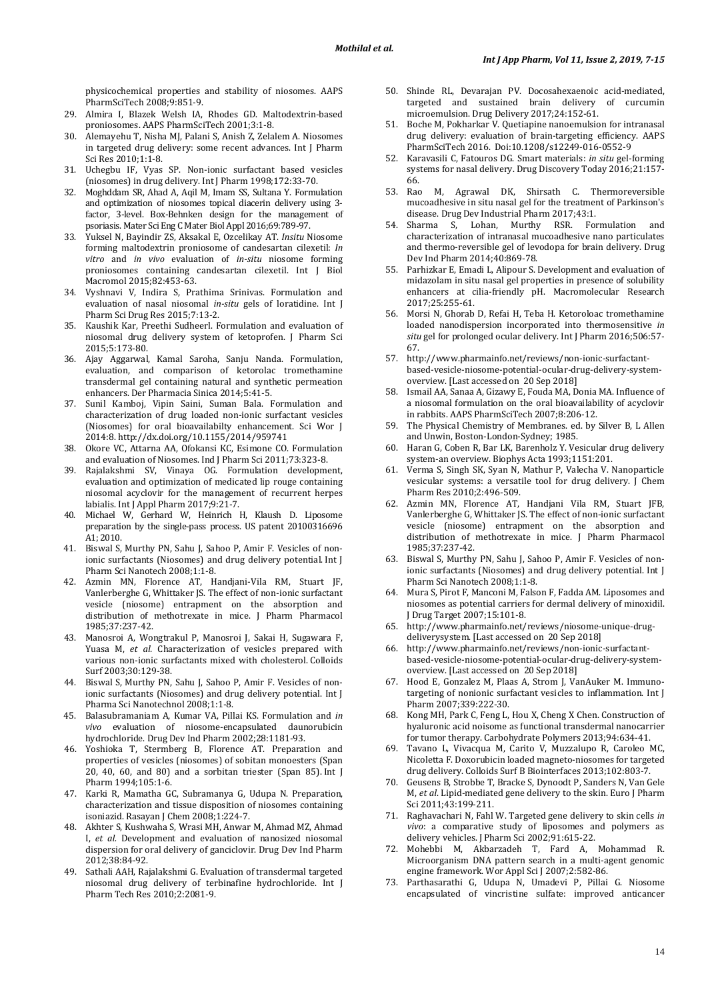physicochemical properties and stability of niosomes. AAPS PharmSciTech 2008;9:851-9.

- 29. Almira I, Blazek Welsh IA, Rhodes GD. Maltodextrin-based proniosomes. AAPS PharmSciTech 2001;3:1-8.
- 30. Alemayehu T, Nisha MJ, Palani S, Anish Z, Zelalem A. Niosomes in targeted drug delivery: some recent advances. Int J Pharm Sci Res 2010;1:1-8.
- 31. Uchegbu IF, Vyas SP. Non-ionic surfactant based vesicles (niosomes) in drug delivery. Int J Pharm 1998;172:33-70.
- 32. Moghddam SR, Ahad A, Aqil M, Imam SS, Sultana Y. Formulation and optimization of niosomes topical diacerin delivery using 3 factor, 3-level. Box-Behnken design for the management of psoriasis. Mater Sci Eng C Mater Biol Appl 2016;69:789-97.
- 33. Yuksel N, Bayindir ZS, Aksakal E, Ozcelikay AT. *Insitu* Niosome forming maltodextrin proniosome of candesartan cilexetil: *In vitro* and *in vivo* evaluation of *in-situ* niosome forming proniosomes containing candesartan cilexetil. Int J Biol Macromol 2015;82:453-63.
- 34. Vyshnavi V, Indira S, Prathima Srinivas. Formulation and evaluation of nasal niosomal *in-situ* gels of loratidine. Int J Pharm Sci Drug Res 2015;7:13-2.
- 35. Kaushik Kar, Preethi Sudheerl. Formulation and evaluation of niosomal drug delivery system of ketoprofen. J Pharm Sci 2015;5:173-80.
- 36. Ajay Aggarwal, Kamal Saroha, Sanju Nanda. Formulation, evaluation, and comparison of ketorolac tromethamine transdermal gel containing natural and synthetic permeation enhancers. Der Pharmacia Sinica 2014;5:41-5.
- 37. Sunil Kamboj, Vipin Saini, Suman Bala. Formulation and characterization of drug loaded non-ionic surfactant vesicles (Niosomes) for oral bioavailabilty enhancement. Sci Wor J 2014:8. http://dx.doi.org/10.1155/2014/959741
- 38. Okore VC, Attarna AA, Ofokansi KC, Esimone CO. Formulation and evaluation of Niosomes. Ind J Pharm Sci 2011;73:323-8.
- 39. Rajalakshmi SV, Vinaya OG. Formulation development, evaluation and optimization of medicated lip rouge containing niosomal acyclovir for the management of recurrent herpes labialis. Int J Appl Pharm 2017;9:21-7.
- 40. Michael W, Gerhard W, Heinrich H, Klaush D. Liposome preparation by the single-pass process. US patent 20100316696 A1; 2010.
- 41. Biswal S, Murthy PN, Sahu J, Sahoo P, Amir F. Vesicles of nonionic surfactants (Niosomes) and drug delivery potential. Int J Pharm Sci Nanotech 2008;1:1-8.
- 42. Azmin MN, Florence AT, Handjani-Vila RM, Stuart JF, Vanlerberghe G, Whittaker JS. The effect of non-ionic surfactant vesicle (niosome) entrapment on the absorption and distribution of methotrexate in mice. J Pharm Pharmacol 1985;37:237-42.
- 43. Manosroi A, Wongtrakul P, Manosroi J, Sakai H, Sugawara F, Yuasa M, *et al.* Characterization of vesicles prepared with various non-ionic surfactants mixed with cholesterol. Colloids Surf 2003;30:129-38.
- 44. Biswal S, Murthy PN, Sahu J, Sahoo P, Amir F. Vesicles of nonionic surfactants (Niosomes) and drug delivery potential. Int J Pharma Sci Nanotechnol 2008;1:1-8.
- 45. Balasubramaniam A, Kumar VA, Pillai KS. Formulation and *in vivo* evaluation of niosome-encapsulated daunorubicin hydrochloride. Drug Dev Ind Pharm 2002;28:1181-93.
- 46. Yoshioka T, Stermberg B, Florence AT. Preparation and properties of vesicles (niosomes) of sobitan monoesters (Span 20, 40, 60, and 80) and a sorbitan triester (Span 85). Int J Pharm 1994;105:1-6.
- 47. Karki R, Mamatha GC, Subramanya G, Udupa N. Preparation, characterization and tissue disposition of niosomes containing isoniazid. Rasayan J Chem 2008;1:224-7.
- 48. Akhter S, Kushwaha S, Wrasi MH, Anwar M, Ahmad MZ, Ahmad I, *et al.* Development and evaluation of nanosized niosomal dispersion for oral delivery of ganciclovir. Drug Dev Ind Pharm 2012;38:84-92.
- 49. Sathali AAH, Rajalakshmi G. Evaluation of transdermal targeted niosomal drug delivery of terbinafine hydrochloride. Int J Pharm Tech Res 2010;2:2081-9.
- 50. Shinde RL, Devarajan PV. Docosahexaenoic acid-mediated, targeted and sustained brain delivery of curcumin microemulsion. Drug Delivery 2017;24:152-61.
- 51. Boche M, Pokharkar V. Quetiapine nanoemulsion for intranasal drug delivery: evaluation of brain-targeting efficiency. AAPS PharmSciTech 2016. Doi:10.1208/s12249-016-0552-9
- 52. Karavasili C, Fatouros DG. Smart materials: *in situ* gel-forming systems for nasal delivery. Drug Discovery Today 2016;21:157- 66.<br>53. Rao
- M, Agrawal DK, Shirsath C. Thermoreversible mucoadhesive in situ nasal gel for the treatment of Parkinson's disease. Drug Dev Industrial Pharm 2017;43:1.
- 54. Sharma S, Lohan, Murthy RSR. Formulation and characterization of intranasal mucoadhesive nano particulates and thermo-reversible gel of levodopa for brain delivery. Drug Dev Ind Pharm 2014;40:869-78.
- 55. Parhizkar E, Emadi L, Alipour S. Development and evaluation of midazolam in situ nasal gel properties in presence of solubility enhancers at cilia-friendly pH. Macromolecular Research 2017;25:255-61.
- 56. Morsi N, Ghorab D, Refai H, Teba H. Ketoroloac tromethamine loaded nanodispersion incorporated into thermosensitive *in situ* gel for prolonged ocular delivery. Int J Pharm 2016;506:57- 67.
- 57. http://www.pharmainfo.net/reviews/non-ionic-surfactantbased-vesicle-niosome-potential-ocular-drug-delivery-systemoverview. [Last accessed on 20 Sep 2018]
- 58. Ismail AA, Sanaa A, Gizawy E, Fouda MA, Donia MA. Influence of a niosomal formulation on the oral bioavailability of acyclovir in rabbits. AAPS PharmSciTech 2007;8:206-12.
- 59. The Physical Chemistry of Membranes. ed. by Silver B, L Allen and Unwin, Boston-London-Sydney; 1985.
- 60. Haran G, Coben R, Bar LK, Barenholz Y. Vesicular drug delivery system-an overview. Biophys Acta 1993;1151:201.
- 61. Verma S, Singh SK, Syan N, Mathur P, Valecha V. Nanoparticle vesicular systems: a versatile tool for drug delivery. J Chem Pharm Res 2010;2:496-509.
- 62. Azmin MN, Florence AT, Handjani Vila RM, Stuart JFB, Vanlerberghe G, Whittaker JS. The effect of non-ionic surfactant vesicle (niosome) entrapment on the absorption and distribution of methotrexate in mice. J Pharm Pharmacol 1985;37:237-42.
- Biswal S, Murthy PN, Sahu J, Sahoo P, Amir F. Vesicles of nonionic surfactants (Niosomes) and drug delivery potential. Int J Pharm Sci Nanotech 2008;1:1-8.
- 64. Mura S, Pirot F, Manconi M, Falson F, Fadda AM. Liposomes and niosomes as potential carriers for dermal delivery of minoxidil. J Drug Target 2007;15:101-8.
- 65. http://www.pharmainfo.net/reviews/niosome-unique-drugdeliverysystem. [Last accessed on 20 Sep 2018]
- 66. http://www.pharmainfo.net/reviews/non-ionic-surfactantbased-vesicle-niosome-potential-ocular-drug-delivery-systemoverview. [Last accessed on 20 Sep 2018]
- 67. Hood E, Gonzalez M, Plaas A, Strom J, VanAuker M. Immunotargeting of nonionic surfactant vesicles to inflammation. Int J Pharm 2007;339:222-30.
- 68. Kong MH, Park C, Feng L, Hou X, Cheng X Chen. Construction of hyaluronic acid noisome as functional transdermal nanocarrier for tumor therapy. Carbohydrate Polymers 2013;94:634-41.
- 69. Tavano L, Vivacqua M, Carito V, Muzzalupo R, Caroleo MC, Nicoletta F. Doxorubicin loaded magneto-niosomes for targeted drug delivery. Colloids Surf B Biointerfaces 2013;102:803-7.
- 70. Geusens B, Strobbe T, Bracke S, Dynoodt P, Sanders N, Van Gele M, *et al*. Lipid-mediated gene delivery to the skin. Euro J Pharm Sci 2011;43:199-211.
- 71. Raghavachari N, Fahl W. Targeted gene delivery to skin cells *in vivo*: a comparative study of liposomes and polymers as delivery vehicles. J Pharm Sci 2002;91:615-22.
- 72. Mohebbi M, Akbarzadeh T, Fard A, Mohammad R. Microorganism DNA pattern search in a multi-agent genomic engine framework. Wor Appl Sci J 2007;2:582-86.
- 73. Parthasarathi G, Udupa N, Umadevi P, Pillai G. Niosome encapsulated of vincristine sulfate: improved anticancer